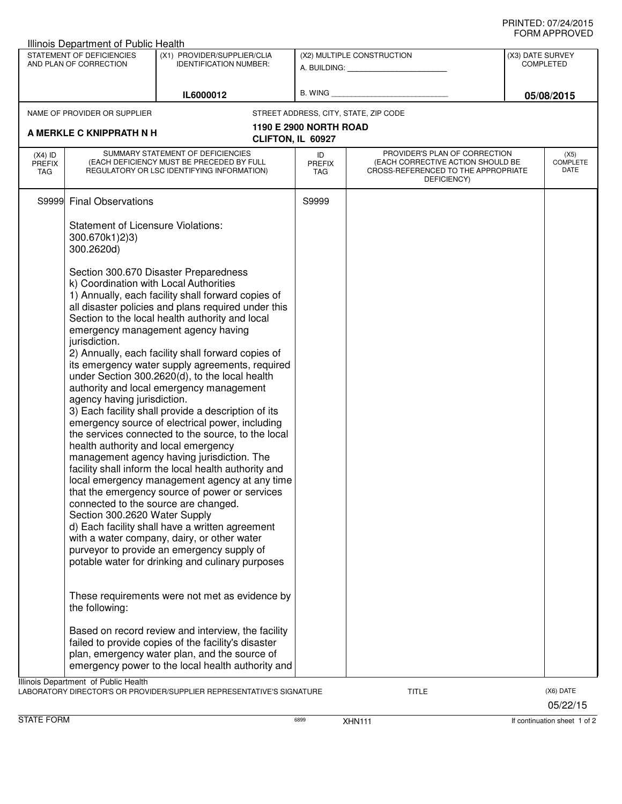## PRINTED: 07/24/2015 FORM APPROVED

| STATEMENT OF DEFICIENCIES<br>AND PLAN OF CORRECTION |                                                                                                                                                                                                                                                                                                                                                                                                                                                                                                                                                                                                                                                                                                                                                                                                                                                                                                                                                                                                                                                                                                                                                                                                                                            | (X1) PROVIDER/SUPPLIER/CLIA<br><b>IDENTIFICATION NUMBER:</b>                                                                                                                                                    | (X2) MULTIPLE CONSTRUCTION                  |                                                                                                                          |  | (X3) DATE SURVEY<br><b>COMPLETED</b><br>05/08/2015 |  |
|-----------------------------------------------------|--------------------------------------------------------------------------------------------------------------------------------------------------------------------------------------------------------------------------------------------------------------------------------------------------------------------------------------------------------------------------------------------------------------------------------------------------------------------------------------------------------------------------------------------------------------------------------------------------------------------------------------------------------------------------------------------------------------------------------------------------------------------------------------------------------------------------------------------------------------------------------------------------------------------------------------------------------------------------------------------------------------------------------------------------------------------------------------------------------------------------------------------------------------------------------------------------------------------------------------------|-----------------------------------------------------------------------------------------------------------------------------------------------------------------------------------------------------------------|---------------------------------------------|--------------------------------------------------------------------------------------------------------------------------|--|----------------------------------------------------|--|
|                                                     |                                                                                                                                                                                                                                                                                                                                                                                                                                                                                                                                                                                                                                                                                                                                                                                                                                                                                                                                                                                                                                                                                                                                                                                                                                            |                                                                                                                                                                                                                 |                                             |                                                                                                                          |  |                                                    |  |
|                                                     |                                                                                                                                                                                                                                                                                                                                                                                                                                                                                                                                                                                                                                                                                                                                                                                                                                                                                                                                                                                                                                                                                                                                                                                                                                            | IL6000012                                                                                                                                                                                                       |                                             |                                                                                                                          |  |                                                    |  |
|                                                     | NAME OF PROVIDER OR SUPPLIER                                                                                                                                                                                                                                                                                                                                                                                                                                                                                                                                                                                                                                                                                                                                                                                                                                                                                                                                                                                                                                                                                                                                                                                                               |                                                                                                                                                                                                                 |                                             | STREET ADDRESS, CITY, STATE, ZIP CODE                                                                                    |  |                                                    |  |
|                                                     | A MERKLE C KNIPPRATH N H                                                                                                                                                                                                                                                                                                                                                                                                                                                                                                                                                                                                                                                                                                                                                                                                                                                                                                                                                                                                                                                                                                                                                                                                                   |                                                                                                                                                                                                                 | 1190 E 2900 NORTH ROAD<br>CLIFTON, IL 60927 |                                                                                                                          |  |                                                    |  |
| $(X4)$ ID<br><b>PREFIX</b><br>TAG                   |                                                                                                                                                                                                                                                                                                                                                                                                                                                                                                                                                                                                                                                                                                                                                                                                                                                                                                                                                                                                                                                                                                                                                                                                                                            | SUMMARY STATEMENT OF DEFICIENCIES<br>(EACH DEFICIENCY MUST BE PRECEDED BY FULL<br>REGULATORY OR LSC IDENTIFYING INFORMATION)                                                                                    | ID<br>PREFIX<br>TAG                         | PROVIDER'S PLAN OF CORRECTION<br>(EACH CORRECTIVE ACTION SHOULD BE<br>CROSS-REFERENCED TO THE APPROPRIATE<br>DEFICIENCY) |  | (X5)<br><b>COMPLETE</b><br>DATE                    |  |
| S9999                                               | <b>Final Observations</b>                                                                                                                                                                                                                                                                                                                                                                                                                                                                                                                                                                                                                                                                                                                                                                                                                                                                                                                                                                                                                                                                                                                                                                                                                  |                                                                                                                                                                                                                 | S9999                                       |                                                                                                                          |  |                                                    |  |
|                                                     | <b>Statement of Licensure Violations:</b><br>300.670k1)2)3)<br>300.2620d)                                                                                                                                                                                                                                                                                                                                                                                                                                                                                                                                                                                                                                                                                                                                                                                                                                                                                                                                                                                                                                                                                                                                                                  |                                                                                                                                                                                                                 |                                             |                                                                                                                          |  |                                                    |  |
|                                                     | Section 300.670 Disaster Preparedness<br>k) Coordination with Local Authorities<br>1) Annually, each facility shall forward copies of<br>all disaster policies and plans required under this<br>Section to the local health authority and local<br>emergency management agency having<br>jurisdiction.<br>2) Annually, each facility shall forward copies of<br>its emergency water supply agreements, required<br>under Section 300.2620(d), to the local health<br>authority and local emergency management<br>agency having jurisdiction.<br>3) Each facility shall provide a description of its<br>emergency source of electrical power, including<br>the services connected to the source, to the local<br>health authority and local emergency<br>management agency having jurisdiction. The<br>facility shall inform the local health authority and<br>local emergency management agency at any time<br>that the emergency source of power or services<br>connected to the source are changed.<br>Section 300.2620 Water Supply<br>d) Each facility shall have a written agreement<br>with a water company, dairy, or other water<br>purveyor to provide an emergency supply of<br>potable water for drinking and culinary purposes |                                                                                                                                                                                                                 |                                             |                                                                                                                          |  |                                                    |  |
|                                                     | the following:                                                                                                                                                                                                                                                                                                                                                                                                                                                                                                                                                                                                                                                                                                                                                                                                                                                                                                                                                                                                                                                                                                                                                                                                                             | These requirements were not met as evidence by                                                                                                                                                                  |                                             |                                                                                                                          |  |                                                    |  |
|                                                     |                                                                                                                                                                                                                                                                                                                                                                                                                                                                                                                                                                                                                                                                                                                                                                                                                                                                                                                                                                                                                                                                                                                                                                                                                                            | Based on record review and interview, the facility<br>failed to provide copies of the facility's disaster<br>plan, emergency water plan, and the source of<br>emergency power to the local health authority and |                                             |                                                                                                                          |  |                                                    |  |
|                                                     | Illinois Department of Public Health                                                                                                                                                                                                                                                                                                                                                                                                                                                                                                                                                                                                                                                                                                                                                                                                                                                                                                                                                                                                                                                                                                                                                                                                       | LABORATORY DIRECTOR'S OR PROVIDER/SUPPLIER REPRESENTATIVE'S SIGNATURE                                                                                                                                           |                                             | <b>TITLE</b>                                                                                                             |  | (X6) DATE<br>05/22/15                              |  |

STATE FORM **EXAMPLE 1 OF 2** 6899 8899 XHN111 **CONTACT AT A CONTACT STATE FORM If continuation sheet 1 of 2**